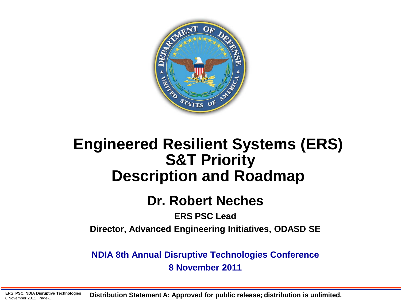

### **Engineered Resilient Systems (ERS) S&T Priority Description and Roadmap**

### **Dr. Robert Neches**

#### **ERS PSC Lead**

**Director, Advanced Engineering Initiatives, ODASD SE**

**NDIA 8th Annual Disruptive Technologies Conference 8 November 2011** 

ERS **PSC, NDIA Disruptive Technologies** ERS PSC, NDIA Disruptive Technologies **Distribution Statement A: Approved for public release; distribution is unlimited.**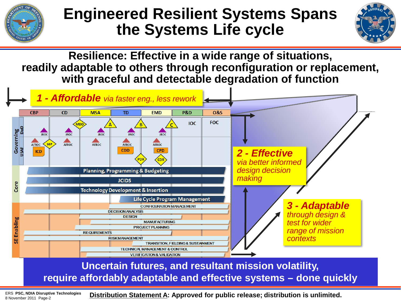

## **Engineered Resilient Systems Spans the Systems Life cycle**



**Resilience: Effective in a wide range of situations, readily adaptable to others through reconfiguration or replacement, with graceful and detectable degradation of function** 



8 November 2011 Page-2

**Distribution Statement A: Approved for public release; distribution is unlimited.** ERS **PSC, NDIA Disruptive Technologies**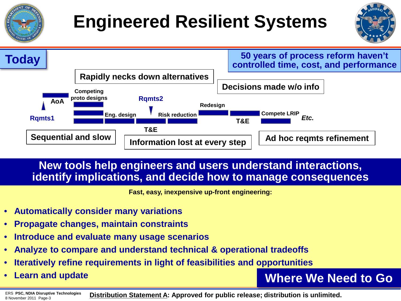# **Engineered Resilient Systems**





#### **New tools help engineers and users understand interactions, identify implications, and decide how to manage consequences**

**Fast, easy, inexpensive up-front engineering:**

- **Automatically consider many variations**
- **Propagate changes, maintain constraints**
- **Introduce and evaluate many usage scenarios**
- **Analyze to compare and understand technical & operational tradeoffs**
- **Iteratively refine requirements in light of feasibilities and opportunities**
- **Learn and update**

**Where We Need to Go**

**Distribution Statement A: Approved for public release; distribution is unlimited.** ERS **PSC, NDIA Disruptive Technologies** 8 November 2011 Page-3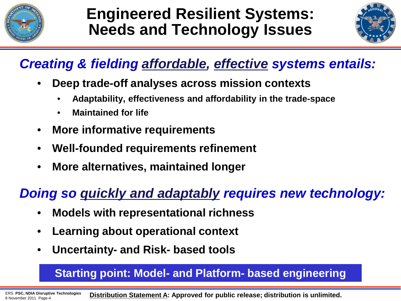

## **Engineered Resilient Systems: Needs and Technology Issues**



### *Creating & fielding affordable, effective systems entails:*

- **Deep trade-off analyses across mission contexts**
	- **Adaptability, effectiveness and affordability in the trade-space**
	- **Maintained for life**
- **More informative requirements**
- **Well-founded requirements refinement**
- **More alternatives, maintained longer**

### *Doing so quickly and adaptably requires new technology:*

- **Models with representational richness**
- **Learning about operational context**
- **Uncertainty- and Risk- based tools**

#### **Starting point: Model- and Platform- based engineering**

**Distribution Statement A: Approved for public release; distribution is unlimited.** ERS **PSC, NDIA Disruptive Technologies** 8 November 2011 Page-4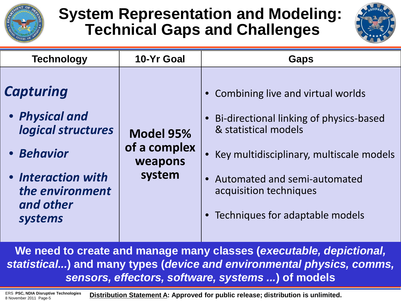

# **System Representation and Modeling: Technical Gaps and Challenges**



| <b>Technology</b>                                                                                                                       | 10-Yr Goal                                     | <b>Gaps</b>                                                                                                                                                                                                                                     |
|-----------------------------------------------------------------------------------------------------------------------------------------|------------------------------------------------|-------------------------------------------------------------------------------------------------------------------------------------------------------------------------------------------------------------------------------------------------|
| <b>Capturing</b><br>• Physical and<br>logical structures<br>• Behavior<br>• Interaction with<br>the environment<br>and other<br>systems | Model 95%<br>of a complex<br>weapons<br>system | • Combining live and virtual worlds<br>Bi-directional linking of physics-based<br>& statistical models<br>Key multidisciplinary, multiscale models<br>Automated and semi-automated<br>acquisition techniques<br>Techniques for adaptable models |

**We need to create and manage many classes (***executable, depictional, statistical...***) and many types (***device and environmental physics, comms, sensors, effectors, software, systems ...***) of models**

**Distribution Statement A: Approved for public release; distribution is unlimited.** ERS **PSC, NDIA Disruptive Technologies** 8 November 2011 Page-5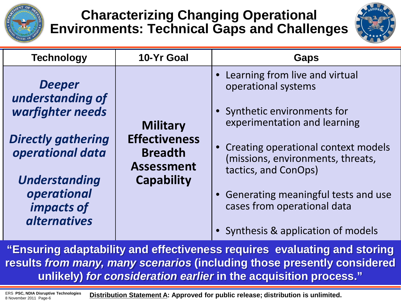

### **Characterizing Changing Operational Environments: Technical Gaps and Challenges**



| <b>Technology</b>                                                                                                                                                                  | 10-Yr Goal                                                                                          | <b>Gaps</b>                                                                                                                                                                                                                                                                                                                              |  |
|------------------------------------------------------------------------------------------------------------------------------------------------------------------------------------|-----------------------------------------------------------------------------------------------------|------------------------------------------------------------------------------------------------------------------------------------------------------------------------------------------------------------------------------------------------------------------------------------------------------------------------------------------|--|
| <b>Deeper</b><br>understanding of<br>warfighter needs<br><b>Directly gathering</b><br>operational data<br><b>Understanding</b><br>operational<br>impacts of<br><i>alternatives</i> | <b>Military</b><br><b>Effectiveness</b><br><b>Breadth</b><br><b>Assessment</b><br><b>Capability</b> | Learning from live and virtual<br>operational systems<br>• Synthetic environments for<br>experimentation and learning<br>• Creating operational context models<br>(missions, environments, threats,<br>tactics, and ConOps)<br>• Generating meaningful tests and use<br>cases from operational data<br>Synthesis & application of models |  |

**"Ensuring adaptability and effectiveness requires evaluating and storing results** *from many, many scenarios* **(including those presently considered unlikely)** *for consideration earlier* **in the acquisition process."** 

8 November 2011 Page-6

**Distribution Statement A: Approved for public release; distribution is unlimited.** ERS **PSC, NDIA Disruptive Technologies**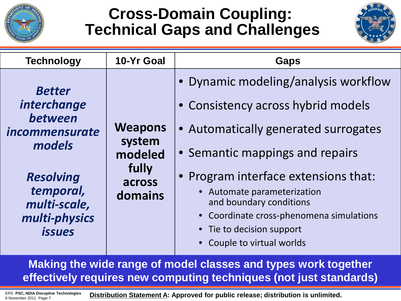

## **Cross-Domain Coupling: Technical Gaps and Challenges**



| <b>Technology</b>                                                                                                                                                           | 10-Yr Goal                                                        | <b>Gaps</b>                                                                                                                                                                                                                                                                                                                                                  |  |
|-----------------------------------------------------------------------------------------------------------------------------------------------------------------------------|-------------------------------------------------------------------|--------------------------------------------------------------------------------------------------------------------------------------------------------------------------------------------------------------------------------------------------------------------------------------------------------------------------------------------------------------|--|
| <b>Better</b><br><i>interchange</i><br>between<br><i>incommensurate</i><br>models<br><b>Resolving</b><br>temporal,<br>multi-scale,<br>multi-physics<br><i><b>issues</b></i> | <b>Weapons</b><br>system<br>modeled<br>fully<br>across<br>domains | • Dynamic modeling/analysis workflow<br>• Consistency across hybrid models<br>• Automatically generated surrogates<br>• Semantic mappings and repairs<br>• Program interface extensions that:<br>• Automate parameterization<br>and boundary conditions<br>• Coordinate cross-phenomena simulations<br>• Tie to decision support<br>Couple to virtual worlds |  |

**Making the wide range of model classes and types work together effectively requires new computing techniques (not just standards)**

ERS PSC, NDIA Disruptive Technologies **Distribution Statement A: Approved for public release; distribution is unlimited.** 8 November 2011 Page-7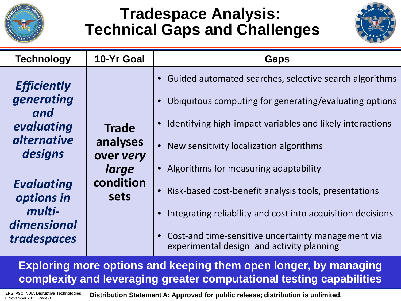

# **Tradespace Analysis: Technical Gaps and Challenges**



| <b>Technology</b>                                                                                                                                  | 10-Yr Goal                                                          | <b>Gaps</b>                                                                                                                                                                                                                                                                                                                                                                                       |
|----------------------------------------------------------------------------------------------------------------------------------------------------|---------------------------------------------------------------------|---------------------------------------------------------------------------------------------------------------------------------------------------------------------------------------------------------------------------------------------------------------------------------------------------------------------------------------------------------------------------------------------------|
| <b>Efficiently</b><br>generating<br>and<br>evaluating<br><i>alternative</i><br>designs<br><b>Evaluating</b><br>options in<br>multi-<br>dimensional | <b>Trade</b><br>analyses<br>over very<br>large<br>condition<br>sets | • Guided automated searches, selective search algorithms<br>Ubiquitous computing for generating/evaluating options<br>• Identifying high-impact variables and likely interactions<br>• New sensitivity localization algorithms<br>• Algorithms for measuring adaptability<br>Risk-based cost-benefit analysis tools, presentations<br>Integrating reliability and cost into acquisition decisions |
| tradespaces                                                                                                                                        |                                                                     | • Cost-and time-sensitive uncertainty management via<br>experimental design and activity planning                                                                                                                                                                                                                                                                                                 |

**Exploring more options and keeping them open longer, by managing complexity and leveraging greater computational testing capabilities** 

8 November 2011 Page-8

ERS PSC, NDIA Disruptive Technologies **Distribution Statement A: Approved for public release; distribution is unlimited.**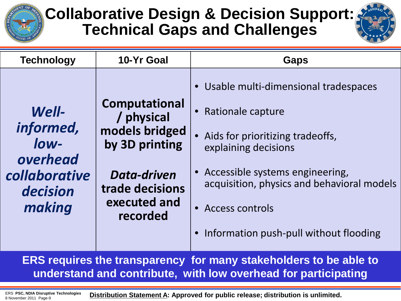

# **Collaborative Design & Decision Support: Technical Gaps and Challenges**



| <b>Technology</b>                                                             | 10-Yr Goal                                                                                                                           | <b>Gaps</b>                                                                                                                                                                                                                                                           |
|-------------------------------------------------------------------------------|--------------------------------------------------------------------------------------------------------------------------------------|-----------------------------------------------------------------------------------------------------------------------------------------------------------------------------------------------------------------------------------------------------------------------|
| Well-<br>informed,<br>low-<br>overhead<br>collaborative<br>decision<br>making | <b>Computational</b><br>/ physical<br>models bridged<br>by 3D printing<br>Data-driven<br>trade decisions<br>executed and<br>recorded | Usable multi-dimensional tradespaces<br>Rationale capture<br>Aids for prioritizing tradeoffs,<br>explaining decisions<br>Accessible systems engineering,<br>acquisition, physics and behavioral models<br>• Access controls<br>Information push-pull without flooding |
|                                                                               |                                                                                                                                      | EDC roquires the transporation for many stakeholders to be oble to                                                                                                                                                                                                    |

**ERS requires the transparency for many stakeholders to be able to understand and contribute, with low overhead for participating**

8 November 2011 Page-9

ERS PSC, NDIA Disruptive Technologies **Distribution Statement A: Approved for public release; distribution is unlimited.**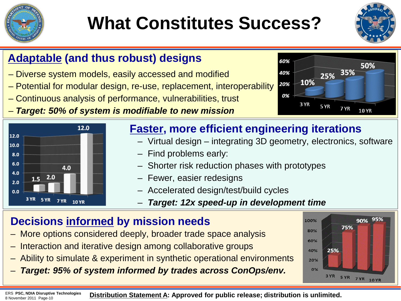

# **What Constitutes Success?**



#### **Adaptable (and thus robust) designs**

- Diverse system models, easily accessed and modified
- Potential for modular design, re-use, replacement, interoperability
- Continuous analysis of performance, vulnerabilities, trust
- *Target: 50% of system is modifiable to new mission*



#### **Faster, more efficient engineering iterations**

- Virtual design integrating 3D geometry, electronics, software
- Find problems early:
- Shorter risk reduction phases with prototypes
- Fewer, easier redesigns
- Accelerated design/test/build cycles
	- *Target: 12x speed-up in development time*

#### **Decisions informed by mission needs**

- More options considered deeply, broader trade space analysis
- Interaction and iterative design among collaborative groups
- Ability to simulate & experiment in synthetic operational environments
- *Target: 95% of system informed by trades across ConOps/env.*



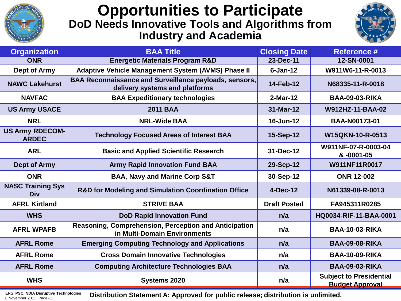

#### **Opportunities to Participate DoD Needs Innovative Tools and Algorithms from Industry and Academia**



| <b>Organization</b>                    | <b>BAA Title</b>                                                                                | <b>Closing Date</b> | <b>Reference #</b>                                       |
|----------------------------------------|-------------------------------------------------------------------------------------------------|---------------------|----------------------------------------------------------|
| <b>ONR</b>                             | <b>Energetic Materials Program R&amp;D</b>                                                      | 23-Dec-11           | 12-SN-0001                                               |
| Dept of Army                           | <b>Adaptive Vehicle Management System (AVMS) Phase II</b>                                       | $6 - Jan-12$        | W911W6-11-R-0013                                         |
| <b>NAWC Lakehurst</b>                  | <b>BAA Reconnaissance and Surveillance payloads, sensors,</b><br>delivery systems and platforms | 14-Feb-12           | N68335-11-R-0018                                         |
| <b>NAVFAC</b>                          | <b>BAA Expeditionary technologies</b>                                                           | $2-Mar-12$          | <b>BAA-09-03-RIKA</b>                                    |
| <b>US Army USACE</b>                   | <b>2011 BAA</b>                                                                                 | 31-Mar-12           | W912HZ-11-BAA-02                                         |
| <b>NRL</b>                             | <b>NRL-Wide BAA</b>                                                                             | 16-Jun-12           | <b>BAA-N00173-01</b>                                     |
| <b>US Army RDECOM-</b><br><b>ARDEC</b> | <b>Technology Focused Areas of Interest BAA</b>                                                 | 15-Sep-12           | W15QKN-10-R-0513                                         |
| <b>ARL</b>                             | <b>Basic and Applied Scientific Research</b>                                                    | 31-Dec-12           | W911NF-07-R-0003-04<br>& -0001-05                        |
| <b>Dept of Army</b>                    | <b>Army Rapid Innovation Fund BAA</b>                                                           | 29-Sep-12           | W911NF11R0017                                            |
| <b>ONR</b>                             | <b>BAA, Navy and Marine Corp S&amp;T</b>                                                        | 30-Sep-12           | <b>ONR 12-002</b>                                        |
| <b>NASC Training Sys</b><br><b>Div</b> | <b>R&amp;D for Modeling and Simulation Coordination Office</b>                                  | 4-Dec-12            | N61339-08-R-0013                                         |
| <b>AFRL Kirtland</b>                   | <b>STRIVE BAA</b>                                                                               | <b>Draft Posted</b> | FA945311R0285                                            |
| <b>WHS</b>                             | <b>DoD Rapid Innovation Fund</b>                                                                | n/a                 | HQ0034-RIF-11-BAA-0001                                   |
| <b>AFRL WPAFB</b>                      | Reasoning, Comprehension, Perception and Anticipation<br>in Multi-Domain Environments           | n/a                 | <b>BAA-10-03-RIKA</b>                                    |
| <b>AFRL Rome</b>                       | <b>Emerging Computing Technology and Applications</b>                                           | n/a                 | <b>BAA-09-08-RIKA</b>                                    |
| <b>AFRL Rome</b>                       | <b>Cross Domain Innovative Technologies</b>                                                     | n/a                 | <b>BAA-10-09-RIKA</b>                                    |
| <b>AFRL Rome</b>                       | <b>Computing Architecture Technologies BAA</b>                                                  | n/a                 | <b>BAA-09-03-RIKA</b>                                    |
| <b>WHS</b>                             | Systems 2020                                                                                    | n/a                 | <b>Subject to Presidential</b><br><b>Budget Approval</b> |

8 November 2011 Page-11

ERS PSC, NDIA Disruptive Technologies **Distribution Statement A: Approved for public release; distribution is unlimited.**